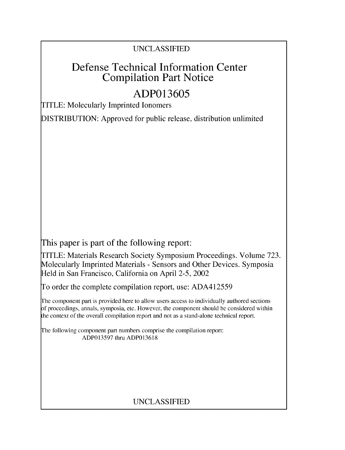# **UNCLASSIFIED**

# Defense Technical Information Center Compilation Part Notice

# **ADP013605**

TITLE: Molecularly Imprinted Ionomers

**DISTRIBUTION:** Approved for public release, distribution unlimited

This paper is part of the following report:

TITLE: Materials Research Society Symposium Proceedings. Volume **723.** Molecularly Imprinted Materials **-** Sensors and Other Devices. Symposia Held in San Francisco, California on April **2-5,** 2002

To order the complete compilation report, use: **ADA412559**

The component part is provided here to allow users access to individually authored sections **)f** proceedings, annals, symposia, etc. However, tihe component should be considered within [he context of the overall compilation report and not as a stand-alone technical report.

The following component part numbers comprise the compilation report: **ADP013597** thru **ADP013618**

# **UNCLASSIFIED**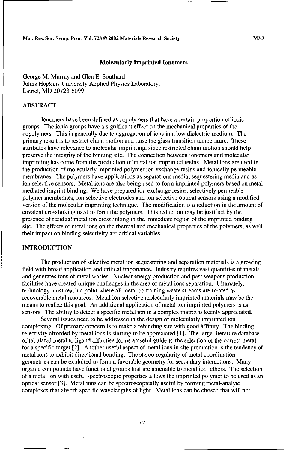#### Molecularly Imprinted lonomers

George M. Murray and Glen E. Southard Johns Hopkins University Applied Physics Laboratory, Laurel, MD 20723-6099

### ABSTRACT

Ionomers have been defined as copolymers that have a certain proportion of ionic groups. The ionic groups have a significant effect on the mechanical properties of the copolymers. This is generally due to aggregation of ions in a low dielectric medium. The primary result is to restrict chain motion and raise the glass transition temperature. These attributes have relevance to molecular imprinting, since restricted chain motion should help preserve the integrity of the binding site. The connection between ionomers and molecular imprinting has come from the production of metal ion imprinted resins. Metal ions are used in the production of molecularly imprinted polymer ion exchange resins and ionically permeable membranes. The polymers have applications as separations media, sequestering media and as ion selective sensors. Metal ions are also being used to form imprinted polymers based on metal mediated imprint binding. We have prepared ion exchange resins, selectively permeable polymer membranes, ion selective electrodes and ion selective optical sensors using a modified version of the molecular imprinting technique. The modification is a reduction in the amount of covalent crosslinking used to form the polymers. This reduction may be justified by the presence of residual metal ion crosslinking in the immediate region of the imprinted binding site. The effects of metal ions on the thermal and mechanical properties of the polymers, as well their impact on binding selectivity are critical variables.

#### **INTRODUCTION**

The production of selective metal ion sequestering and separation materials is a growing field with broad application and critical importance. Industry requires vast quantities of metals and generates tons of metal wastes. Nuclear energy production and past weapons production facilities have created unique challenges in the area of metal ions separation. Ultimately, technology must reach a point where all metal containing waste streams are treated as recoverable metal resources. Metal ion selective molecularly imprinted materials may be the means to realize this goal. An additional application of metal ion imprinted polymers is as sensors. The ability to detect a specific metal ion in a complex matrix is keenly appreciated.

Several issues need to be addressed in the design of molecularly imprinted ion complexing. Of primary concern is to make a rebinding site with good affinity. The binding selectivity afforded by metal ions is starting to be appreciated [I]. The large literature database of tabulated metal to ligand affinities forms a useful guide to the selection of the correct metal for a specific target [2]. Another useful aspect of metal ions in site production is the tendency of metal ions to exhibit directional bonding. The stereo-regularity of metal coordination geometries can be exploited to form a favorable geometry for secondary interactions. Many organic compounds have functional groups that are amenable to metal ion tethers. The selection of a metal ion with useful spectroscopic properties allows the imprinted polymer to be used as an optical sensor [3]. Metal ions can be spectroscopically useful by forming metal-analyte complexes that absorb specific wavelengths of light. Metal ions can be chosen that will not

67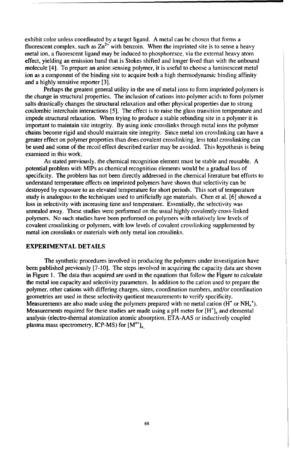exhibit color unless coordinated by a target ligand. A metal can be chosen that forms a fluorescent complex, such as  $Zn^{2+}$  with benzoin. When the imprinted site is to sense a heavy metal ion, a fluorescent ligand may be induced to phosphoresce, via the external heavy atom effect, yielding an emission band that is Stokes shifted and longer lived than with the unbound molecule [4]. To prepare an anion sensing polymer, it is useful to choose a luminescent metal ion as a component of the binding site to acquire both a high thermodynamic binding affinity and a highly sensitive reporter [3].

Perhaps the greatest general utility in the use of metal ions to form imprinted polymers is the change in structural properties. The inclusion of cations into polymer acids to form polymer salts drastically changes the structural relaxation and other physical properties due to strong coulombic interchain interactions [5]. The effect is to raise the glass transition temperature and impede structural relaxation. When trying to produce a stable rebinding site in a polymer it is important to maintain site integrity. By using ionic crosslinks through metal ions the polymer chains become rigid and should maintain site integrity. Since metal ion crosslinking can have a greater effect on polymer properties than does covalent crosslinking, less total crosslinking can be used and some of the recoil effect described earlier may be avoided. This hypothesis is being examined in this work.

As stated previously, the chemical recognition element must be stable and reusable. A potential problem with MIPs as chemical recognition elements would be a gradual loss of specificity. The problem has not been directly addressed in the chemical literature but efforts to understand temperature effects on imprinted polymers have shown that selectivity can be destroyed by exposure to an elevated temperature for short periods. This sort of temperature study is analogous to the techniques used to artificially age materials. Chen et al. [6] showed a loss in selectivity with increasing time and temperature. Essentially, the selectivity was annealed away. These studies were performed on the usual highly covalently cross-linked polymers. No such studies have been performed on polymers with relatively low levels of covalent crosslinking or polymers, with low levels of covalent crosslinking supplemented by metal ion crosslinks or materials with only metal ion crosslinks.

#### EXPERIMENTAL **DETAILS**

The synthetic procedures involved in producing the polymers under investigation have been published previously [7-10]. The steps involved in acquiring the capacity data are shown in Figure 1. The data thus acquired are used in the equations that follow the Figure to calculate the metal ion capacity and selectivity parameters. In addition to the cation used to prepare the polymer, other cations with differing charges, sizes, coordination numbers, and/or coordination geometries are used in these selectivity quotient measurements to verify specificity. Measurements are also made using the polymers prepared with no metal cation ( $\dot{H}^+$  or NH<sub>4</sub><sup>+</sup>). Measurements required for these studies are made using a pH meter for  $[H^+]$ , and elemental analysis (electro-thermal atomization atomic absorption, ETA-AAS or inductively coupled plasma mass spectrometry, ICP-MS) for  $[M^{n+}]_a$ .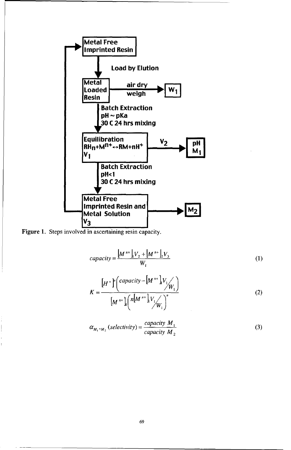



$$
capacity = \frac{\left[M^{n+}\right]_1 V_2 + \left[M^{n+}\right]_2 V_3}{W_1} \tag{1}
$$

$$
K = \frac{\left[H^+\right]^n \left(\text{capacity} - \left[M^{n+1}\right] V_1 / W_1\right)}{\left[M^{n+1}\right] \left(n \left[M^{n+1}\right] V_1 / W_1\right)^n} \tag{2}
$$

$$
\alpha_{M_1 M_2} (selectivity) = \frac{capacity M_1}{capacity M_2}
$$
 (3)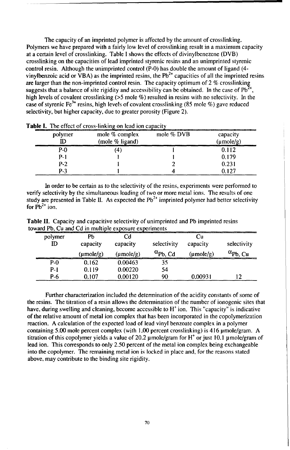The capacity of an imprinted polymer is affected by the amount of crosslinking. Polymers we have prepared with a fairly low level of crosslinking result in a maximum capacity at a certain level of crosslinking. Table I shows the effects of divinylbenezene (DVB) crosslinking on the capacities of lead imprinted styrenic resins and an unimprinted styrenic control resin. Although the unimprinted control (P-0) has double the amount of ligand (4 vinylbenzoic acid or VBA) as the imprinted resins, the  $Pb^{2+}$  capacities of all the imprinted resins viny identitive term on  $\frac{1}{2}$  as the imprimed control resin. The capacity optimum of 2 % crosslinking<br>are larger than the non-imprinted control resin. The capacity optimum of 2 % crosslinking suggests that a balance of site rigidity and accessibility can be obtained. In the case of  $Pb<sup>2</sup>$ high levels of covalent crosslinking (>5 mole %) resulted in resins with no selectivity. In the case of styrenic Fe<sup>3+</sup> resins, high levels of covalent crosslinking (85 mole %) gave reduced selectivity, but higher capacity, due to greater porosity (Figure 2).

| polymer<br>ID | mole % complex<br>(mole % ligand) | mole $%$ DVB | capacity<br>$(\mu \text{mole/g})$ |  |
|---------------|-----------------------------------|--------------|-----------------------------------|--|
| $P-0$         | 41                                |              | ).112                             |  |
| $P-1$         |                                   |              | 0.179                             |  |
| $P-2$         |                                   |              | 0.231                             |  |
| $P-3$         |                                   |              | 2127                              |  |

Table **I.** The effect of cross-linking on lead ion capacity

In order to be certain as to the selectivity of the resins, experiments were performed to verify selectivity by the simultaneous loading of two or more metal ions. The results of one study are presented in Table II. As expected the  $Pb^{2+}$  imprinted polymer had better selectivity for  $Pb^{2+}$  ion.

| oward Po. Cu and Cu in multiple exposure experiments |                                                                                                                                                                                                                                        |                                          |                                        |                             |             |  |
|------------------------------------------------------|----------------------------------------------------------------------------------------------------------------------------------------------------------------------------------------------------------------------------------------|------------------------------------------|----------------------------------------|-----------------------------|-------------|--|
| polymer                                              | Pb<br>capacity<br>$(\mu \text{mole/g})$                                                                                                                                                                                                | -10<br>capacity<br>$(\mu \text{mole/g})$ | selectivity<br>$\alpha_{\rm ph}$<br>Cd | Cи<br>capacity<br>(umole/g) | selectivity |  |
| <b>P-0</b>                                           | and the company's interest to the company of the company of the company of the company of the company of the company of the company of the company of the company of the company of the company of the company of the company<br>0.162 | 0.00463                                  | 35                                     |                             |             |  |
| $P-1$                                                | 0.119                                                                                                                                                                                                                                  | 0.00220                                  | 54                                     |                             |             |  |
| P-6                                                  | 0.107                                                                                                                                                                                                                                  | 0.00120                                  | 90                                     | 0.00931                     |             |  |

Table **11.** Capacity and capacitive selectivity of unimprinted and Pb imprinted resins toward Pb,  $\overrightarrow{C}$ u and  $\overrightarrow{C}$ d in multiple experiments

Further characterization included the determination of the acidity constants of some of the resins. The titration of a resin allows the detennination of the number of ionogenic sites that have, during swelling and cleaning, become accessible to  $H^+$  ion. This "capacity" is indicative of the relative amount of metal ion complex that has been incorporated in the copolymerization reaction. A calculation of the expected load of lead vinyl benzoate complex in a polymer containing 5.00 mole percent complex (with  $1.00$  percent crosslinking) is 416  $\mu$ mole/gram. A titration of this copolymer yields a value of 20.2 µmole/gram for  $H^+$  or just 10.1 µmole/gram of lead ion. This corresponds to only 2.50 percent of the metal ion complex being exchangeable into the copolymer. The remaining metal ion is locked in place and, for the reasons stated above, may contribute to the binding site rigidity.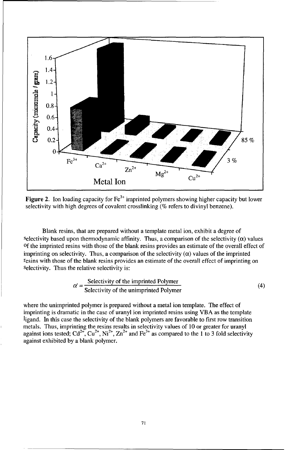

**Figure 2.** Ion loading capacity for  $Fe^{3+}$  imprinted polymers showing higher capacity but lower selectivity with high degrees of covalent crosslinking (% refers to divinyl benzene).

Blank resins, that are prepared without a template metal ion, exhibit a degree of selectivity based upon thermodynamic affinity. Thus, a comparison of the selectivity  $(\alpha)$  values **Of** the imprinted resins with those of the blank resins provides an estimate of the overall effect of imprinting on selectivity. Thus, a comparison of the selectivity  $(\alpha)$  values of the imprinted resins with those of the blank resins provides an estimate of the overall effect of imprinting on Selectivity. Thus the relative selectivity is:

$$
\alpha' = \frac{\text{Selectivity of the imprinted Polymer}}{\text{Selectivity of the unimprinted Polymer}} \tag{4}
$$

where the unimprinted polymer is prepared without a metal ion template. The effect of imprinting is dramatic in the case of uranyl ion imprinted resins using VBA as the template ligand. In this case the selectivity of the blank polymers are favorable to first row transition metals. Thus, imprinting the resins results in selectivity values of 10 or greater for uranyl against ions tested;  $Cd^{2+}$ ,  $Cu^{2+}$ ,  $Ni^{2+}$ ,  $Zn^{2+}$  and  $Fe^{3+}$  as compared to the 1 to 3 fold selectivity against exhibited by a blank polymer.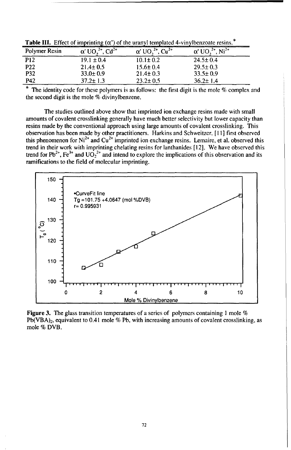| Polymer Resin   | $^{2+}$ , Cd <sup>2+</sup> | $\alpha'$ UO, $^{2+}$ , Cu <sup>2+</sup> | $Ni2+$         |
|-----------------|----------------------------|------------------------------------------|----------------|
| P12             | $19.1 \pm 0.4$             | $10.1 \pm 0.2$                           | $24.5 \pm 0.4$ |
| P <sub>22</sub> | $21.4 \pm 0.5$             | $15.6 \pm 0.4$                           | $29.5 \pm 0.3$ |
| <b>P32</b>      | $33.0 \pm 0.9$             | $21.4 \pm 0.3$                           | $33.5 \pm 0.9$ |
| P42             | 37.2± 1.3                  | $23.2 \pm 0.5$                           | $36.2 \pm 1.4$ |

**Table III.** Effect of imprinting ( $\alpha'$ ) of the uranyl templated 4-vinylbenzoate resins.<sup>\*</sup>

The identity code for these polymers is as follows: the first digit is the mole % complex and the second digit is the mole  $\%$  divinylbenzene.

The studies outlined above show that imprinted ion exchange resins made with small amounts of covalent crosslinking generally have much better selectivity but lower capacity than resins made by the conventional approach using large amounts of covalent crosslinking. This observation has been made by other practitioners. Harkins and Schweitzer, [ **I I]** first observed this phenomenon for Ni<sup>2+</sup> and Cu<sup>2+</sup> imprinted ion exchange resins. Lemaire, et al. observed this trend in their work with imprinting chelating resins for lanthanides [12]. We have observed this trend for Pb<sup>2+</sup>, Fe<sup>3+</sup> and UO<sub>2</sub><sup>2+</sup> and intend to explore the implications of this observation and its ramifications to the field of molecular imprinting.



Figure **3.** The glass transition temperatures of a series of polymers containing **I** mole %  $Pb(VBA)$ <sub>2</sub>, equivalent to 0.41 mole % Pb, with increasing amounts of covalent crosslinking, as mole % DVB.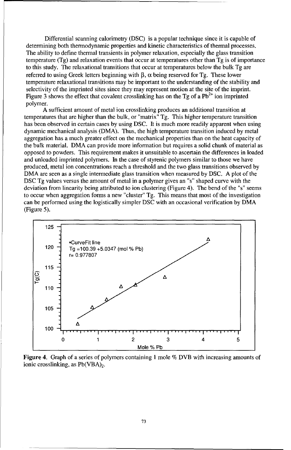Differential scanning calorimetry (DSC) is a popular technique since it is capable of determining both thermodynamic properties and kinetic characteristics of thermal processes. The ability to define thermal transients in polymer relaxation, especially the glass transition temperature (Tg) and relaxation events that occur at temperatures other than Tg is of importance to this study. The relaxational transitions that occur at temperatures below the bulk Tg are referred to using Greek letters beginning with  $\beta$ ,  $\alpha$  being reserved for Tg. These lower temperature relaxational transitions may be important to the understanding of the stability and selectivity of the imprinted sites since they may represent motion at the site of the imprint. Figure 3 shows the effect that covalent crosslinking has on the Tg of a  $Pb^{2+}$  ion imprinted polymer.

A sufficient amount of metal ion crosslinking produces an additional transition at temperatures that are higher than the bulk, or "matrix"  $Tg$ . This higher temperature transition has been observed in certain cases by using DSC. It is much more readily apparent when using dynamic mechanical analysis (DMA). Thus, the high temperature transition induced by metal aggregation has a much greater effect on the mechanical properties than on the heat capacity of the bulk material. DMA can provide more information but requires a solid chunk of material as opposed to powders. This requirement makes it unsuitable to ascertain the differences in loaded and unloaded imprinted polymers. In the case of styrenic polymers similar to those we have produced, metal ion concentrations reach a threshold and the two glass transitions observed by DMA are seen as a single intermediate glass transition when measured by DSC. A plot of the DSC Tg values versus the amount of metal in a polymer gives an "s" shaped curve with the deviation from linearity being attributed to ion clustering (Figure 4). The bend of the "s" seems to occur when aggregation forms a new "cluster" Tg. This means that most of the investigation can be performed using the logistically simpler DSC with an occasional verification by DMA (Figure 5).



Figure 4. Graph of a series of polymers containing 1 mole % DVB with increasing amounts of ionic crosslinking, as  $Pb(VBA)_{2}$ .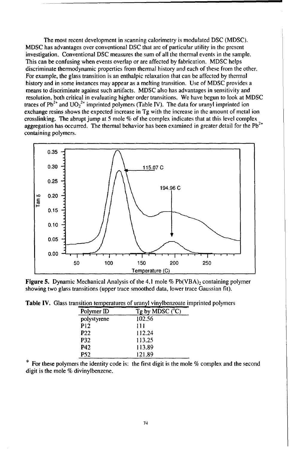The most recent development in scanning calorimetry is modulated DSC (MDSC). MDSC has advantages over conventional DSC that are of particular utility in the present investigation. Conventional DSC measures the sum of all the thermal events in the sample. This can be confusing when events overlap or are affected by fabrication. MDSC helps discriminate thermodynamic properties from themial history and each of these from the other. For example, the glass transition is an enthalpic relaxation that can be affected by thermal history and in some instances may appear as a melting transition. Use of MDSC provides a means to discriminate against such artifacts. MDSC also has advantages in sensitivity and resolution, both critical in evaluating higher order transitions. We have begun to look at MDSC traces of Pb<sup>2+</sup> and  $UO_2$ <sup>2+</sup> imprinted polymers (Table IV). The data for uranyl imprinted ior exchange resins shows the expected increase in Tg with the increase in the amount of metal ion crosslinking. The abrupt jump at 5 mole % of the complex indicates that at this level complex aggregation has occurred. The thermal behavior has been examined in greater detail for the  $Pb^{2+}$ containing polymers.



**Figure 5.** Dynamic Mechanical Analysis of the 4.1 mole % Pb(VBA)<sub>2</sub> containing polymer showing two glass transitions (upper trace smoothed data, lower trace Gaussian fit).

| THEFIOURLOWIG HILD |                 |                            |  |
|--------------------|-----------------|----------------------------|--|
|                    | Polymer ID      | $Tg$ by MDSC $(^{\circ}C)$ |  |
|                    | polystyrene     | 102.56                     |  |
|                    | P <sub>12</sub> | 111                        |  |
|                    | P <sub>22</sub> | 112.24                     |  |
|                    | <b>P32</b>      | 113.25                     |  |
|                    | P42             | 113.89                     |  |
|                    | <b>P52</b>      | 121.89                     |  |

Table IV. Glass transition temperatures of uranyl vinylbenzoate imprinted polymers

For these polymers the identity code is: the first digit is the mole % complex and the second digit is the mole % divinylbenzene.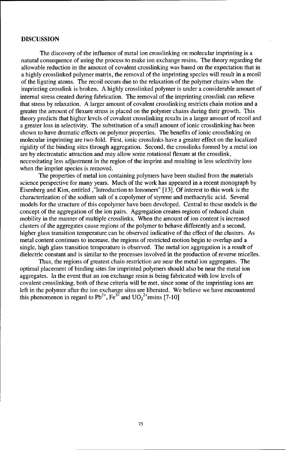#### **DISCUSSION**

The discovery of the influence of metal ion crosslinking on molecular imprinting is a natural consequence of using the process to make ion exchange resins. The theory regarding the allowable reduction in the amount of covalent crosslinking was based on the expectation that in a highly crosslinked polymer matrix, the removal of the imprinting species will result in a recoil of the ligating atoms. The recoil occurs due to the relaxation of the polymer chains when the imprinting crosslink is broken. A highly crosslinked polymer is under a considerable amount of internal stress created during fabrication. The removal of the imprinting crosslink can relieve that stress by relaxation. A larger amount of covalent crosslinking restricts chain motion and a greater the amount of flexure stress is placed on the polymer chains during their growth. This theory predicts that higher levels of covalent crosslinking results in a larger amount of recoil and a greater loss in selectivity. The substitution of a small amount of ionic crosslinking has been shown to have dramatic effects on polymer properties. The benefits of ionic crosslinking on molecular imprinting are two-fold. First, ionic crosslinks have a greater effect on the localized rigidity of the binding sites through aggregation. Second, the crosslinks formed by a metal ion are by electrostatic attraction and may allow some rotational flexure at the crosslink, necessitating less adjustment in the region of the imprint and resulting in less selectivity loss when the imprint species is removed.

The properties of metal ion containing polymers have been studied from the materials science perspective for many years. Much of the work has appeared in a recent monograph by Eisenberg and Kim, entitled ,"Introduction to lonomers" [13]. Of interest to this work is the characterization of the sodium salt of a copolymer of styrene and methacrylic acid. Several models for the structure of this copolymer have been developed. Central to these models is the concept of the aggregation of the ion pairs. Aggregation creates regions of reduced chain mobility in the manner of multiple crosslinks. When the amount of ion content is increased clusters of the aggregates cause regions of the polymer to behave differently and a second, higher glass transition temperature can be observed indicative of the effect of the clusters. As metal content continues to increase, the regions of restricted motion begin to overlap and a single, high glass transition temperature is observed. The metal ion aggregation is a result of dielectric constant and is similar to the processes involved in the production of reverse micelles.

Thus, the regions of greatest chain restriction are near the metal ion aggregates. The optimal placement of binding sites for imprinted polymers should also be near the metal ion aggregates. In the event that an ion exchange resin is being fabricated with low levels of covalent crosslinking, both of these criteria will be met, since some of the imprinting ions are left in the polymer after the ion exchange sites are liberated. We believe we have encountered this phenomenon in regard to  $Pb^{2+}$ ,  $Fe^{3+}$  and  $UO_2^{2+}$ resins [7-10]